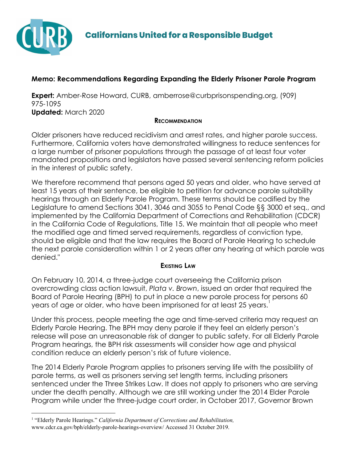

# **Memo: Recommendations Regarding Expanding the Elderly Prisoner Parole Program**

**Expert:** Amber-Rose Howard, CURB, amberrose@curbprisonspending.org, (909) 975-1095 **Updated:** March 2020

## **RECOMMENDATION**

Older prisoners have reduced recidivism and arrest rates, and higher parole success. Furthermore, California voters have demonstrated willingness to reduce sentences for a large number of prisoner populations through the passage of at least four voter mandated propositions and legislators have passed several sentencing reform policies in the interest of public safety.

We therefore recommend that persons aged 50 years and older, who have served at least 15 years of their sentence, be eligible to petition for advance parole suitability hearings through an Elderly Parole Program. These terms should be codified by the Legislature to amend Sections 3041, 3046 and 3055 to Penal Code §§ 3000 et seq., and implemented by the California Department of Corrections and Rehabilitation (CDCR) in the California Code of Regulations, Title 15. We maintain that all people who meet the modified age and timed served requirements, regardless of conviction type, should be eligible and that the law requires the Board of Parole Hearing to schedule the next parole consideration within 1 or 2 years after any hearing at which parole was denied."

## **EXISTING LAW**

On February 10, 2014, a three-judge court overseeing the California prison overcrowding class action lawsuit, *Plata v. Brown*, issued an order that required the Board of Parole Hearing (BPH) to put in place a new parole process for persons 60 years of age or older, who have been imprisoned for at least 25 years.

Under this process, people meeting the age and time-served criteria may request an Elderly Parole Hearing. The BPH may deny parole if they feel an elderly person's release will pose an unreasonable risk of danger to public safety. For all Elderly Parole Program hearings, the BPH risk assessments will consider how age and physical condition reduce an elderly person's risk of future violence.

The 2014 Elderly Parole Program applies to prisoners serving life with the possibility of parole terms, as well as prisoners serving set length terms, including prisoners sentenced under the Three Strikes Law. It does not apply to prisoners who are serving under the death penalty. Although we are still working under the 2014 Elder Parole Program while under the three-judge court order, in October 2017, Governor Brown

<sup>1</sup> "Elderly Parole Hearings." *California Department of Corrections and Rehabilitation,* [www.cdcr.ca.gov/bph/elderly-parole-hearings-overview/](https://www.cdcr.ca.gov/bph/elderly-parole-hearings-overview/) Accessed 31 October 2019.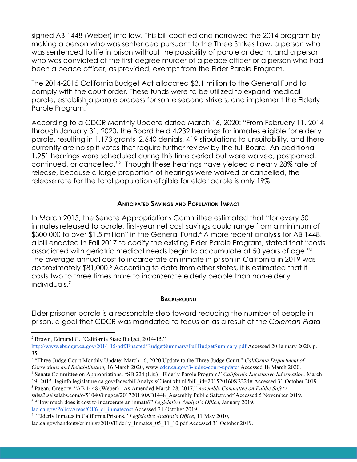signed AB 1448 (Weber) into law. This bill codified and narrowed the 2014 program by making a person who was sentenced pursuant to the Three Strikes Law, a person who was sentenced to life in prison without the possibility of parole or death, and a person who was convicted of the first-degree murder of a peace officer or a person who had been a peace officer, as provided, exempt from the Elder Parole Program.

The 2014-2015 California Budget Act allocated \$3.1 million to the General Fund to comply with the court order. These funds were to be utilized to expand medical parole, establish a parole process for some second strikers, and implement the Elderly Parole Program.<sup>2</sup>

According to a CDCR Monthly Update dated March 16, 2020: "From February 11, 2014 through January 31, 2020, the Board held 4,232 hearings for inmates eligible for elderly parole, resulting in 1,173 grants, 2,640 denials, 419 stipulations to unsuitability, and there currently are no split votes that require further review by the full Board. An additional 1,951 hearings were scheduled during this time period but were waived, postponed, continued, or cancelled."<sup>3</sup> Though these hearings have yielded a nearly 28% rate of release, because a large proportion of hearings were waived or cancelled, the release rate for the total population eligible for elder parole is only 19%.

## **ANTICIPATED SAVINGS AND POPULATION IMPACT**

In March 2015, the Senate Appropriations Committee estimated that "for every 50 inmates released to parole, first-year net cost savings could range from a minimum of \$300,000 to over \$1.5 million" in the General Fund.<sup>4</sup> A more recent analysis for AB 1448, a bill enacted in Fall 2017 to codify the existing Elder Parole Program, stated that "costs associated with geriatric medical needs begin to accumulate at 50 years of age."<sup>5</sup> The average annual cost to incarcerate an inmate in prison in California in 2019 was approximately \$81,000.<sup>6</sup> According to data from other states, it is estimated that it costs two to three times more to incarcerate elderly people than non-elderly individuals.<sup>7</sup>

#### **BACKGROUND**

Elder prisoner parole is a reasonable step toward reducing the number of people in prison, a goal that CDCR was mandated to focus on as a result of the *Coleman-Plata*

[salsa3.salsalabs.com/o/51040/images/201720180AB1448\\_Assembly](https://salsa3.salsalabs.com/o/51040/images/201720180AB1448_Assembly%20Public%20Safety.pdf) Public Safety.pdf Accessed 5 November 2019.

<sup>6</sup> "How much does it cost to incarcerate an inmate?" *Legislative Analyst's Of ice*, January 2019,

[lao.ca.gov/PolicyAreas/CJ/6\\_cj\\_inmatecost](https://lao.ca.gov/PolicyAreas/CJ/6_cj_inmatecost) Accessed 31 October 2019.

<sup>2</sup> Brown, Edmund G. "California State Budget, 2014-15."

<http://www.ebudget.ca.gov/2014-15/pdf/Enacted/BudgetSummary/FullBudgetSummary.pdf> Accessed 20 January 2020, p. 35.

<sup>3</sup> "Three-Judge Court Monthly Update: March 16, 2020 Update to the Three-Judge Court." *California Department of Corrections and Rehabilitation,* 16 March 2020, www[.cdcr.ca.gov/3-judge-court-update/](https://www.cdcr.ca.gov/3-judge-court-update/) Accessed 18 March 2020.

<sup>4</sup> Senate Committee on Appropriations. "SB 224 (Liu) - Elderly Parole Program." *California Legislative Information,* March 19, 2015. leginfo.legislature.ca.gov/faces/billAnalysisClient.xhtml?bill\_id=201520160SB224# Accessed 31 October 2019.

<sup>5</sup> Pagan, Gregory. "AB 1448 (Weber) - As Amended March 28, 2017." *Assembly Committee on Public Safety,*

<sup>&</sup>lt;sup>7</sup> "Elderly Inmates in California Prisons." *Legislative Analyst's Office*, 11 May 2010, [lao.ca.gov/handouts/crimjust/2010/Elderly\\_Inmates\\_05\\_11\\_10.pdf](http://www.lao.ca.gov/handouts/crimjust/2010/Elderly_Inmates_05_11_10.pdf) Accessed 31 October 2019.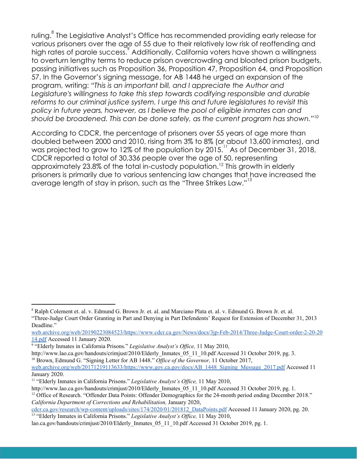ruling.<sup>8</sup> The Legislative Analyst's Office has recommended providing early release for various prisoners over the age of 55 due to their relatively low risk of reoffending and high rates of parole success. Additionally, California voters have shown a willingness to overturn lengthy terms to reduce prison overcrowding and bloated prison budgets, passing initiatives such as Proposition 36, Proposition 47, Proposition 64, and Proposition 57. In the Governor's signing message, for AB 1448 he urged an expansion of the program, writing: *"This is an important bill, and I appreciate the Author and Legislature's willingness to take this step towards codifying responsible and durable reforms to our criminal justice system. I urge this and future legislatures to revisit this policy in future years, however, as I believe the pool of eligible inmates can and should be broadened. This can be done safely, as the current program has shown."<sup>10</sup>*

According to CDCR, the percentage of prisoners over 55 years of age more than doubled between 2000 and 2010, rising from 3% to 8% (or about 13,600 inmates), and was projected to grow to 12% of the population by  $2015$ .<sup>11</sup> As of December 31, 2018, CDCR reported a total of 30,336 people over the age of 50, representing approximately 23.8% of the total in-custody population.<sup>12</sup> This growth in elderly prisoners is primarily due to various sentencing law changes that have increased the average length of stay in prison, such as the "Three Strikes Law."<sup>13</sup>

<sup>12</sup> Office of Research. "Offender Data Points: Offender Demographics for the 24-month period ending December 2018." *California Department of Corrections and Rehabilitation,* January 2020,

[cdcr.ca.gov/research/wp-content/uploads/sites/174/2020/01/201812\\_DataPoints.pdf](https://www.cdcr.ca.gov/research/wp-content/uploads/sites/174/2020/01/201812_DataPoints.pdf) Accessed 11 January 2020, pg. 20. <sup>13</sup> "Elderly Inmates in California Prisons." *Legislative Analyst's Office*, 11 May 2010,

<sup>8</sup> Ralph Colement et. al. v. Edmund G. Brown Jr. et. al. and Marciano Plata et. al. v. Edmund G. Brown Jr. et. al. "Three-Judge Court Order Granting in Part and Denying in Part Defendents' Request for Extension of December 31, 2013 Deadline."

[web.archive.org/web/20190223084523/https://www.cdcr.ca.gov/News/docs/3jp-Feb-2014/Three-Judge-Court-order-2-20-20](http://web.archive.org/web/20190223084523/https://www.cdcr.ca.gov/News/docs/3jp-Feb-2014/Three-Judge-Court-order-2-20-2014.pdf) [14.pdf](http://web.archive.org/web/20190223084523/https://www.cdcr.ca.gov/News/docs/3jp-Feb-2014/Three-Judge-Court-order-2-20-2014.pdf) Accessed 11 January 2020.

<sup>&</sup>lt;sup>9</sup> "Elderly Inmates in California Prisons." *Legislative Analyst's Office*, 11 May 2010,

http://www.lao.ca.gov/handouts/crimjust/2010/Elderly Inmates 05 11 10.pdf Accessed 31 October 2019, pg. 3.

<sup>10</sup> Brown, Edmund G. "Signing Letter for AB 1448." *Of ice of the Governor,* 11 October 2017,

[web.archive.org/web/20171219113633/https://www.gov.ca.gov/docs/AB\\_1448\\_Signing\\_Message\\_2017.pdf](http://web.archive.org/web/20171219113633/https://www.gov.ca.gov/docs/AB_1448_Signing_Message_2017.pdf) Accessed 11 January 2020.

<sup>&</sup>lt;sup>11</sup> "Elderly Inmates in California Prisons." *Legislative Analyst's Office*, 11 May 2010,

[http://www.lao.ca.gov/handouts/crimjust/2010/Elderly\\_Inmates\\_05\\_11\\_10.pdf](http://www.lao.ca.gov/handouts/crimjust/2010/Elderly_Inmates_05_11_10.pdf) Accessed 31 October 2019, pg. 1.

[lao.ca.gov/handouts/crimjust/2010/Elderly\\_Inmates\\_05\\_11\\_10.pdf](http://www.lao.ca.gov/handouts/crimjust/2010/Elderly_Inmates_05_11_10.pdf) Accessed 31 October 2019, pg. 1.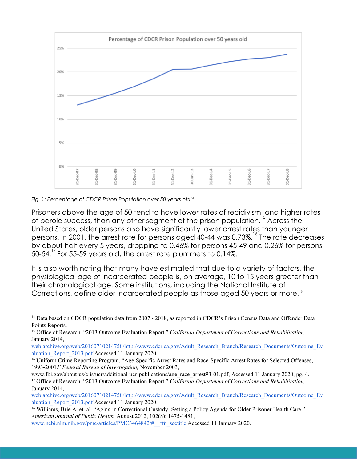

#### *Fig. 1: Percentage of CDCR Prison Population over 50 years old<sup>14</sup>*

Prisoners above the age of 50 tend to have lower rates of recidivism, and higher rates of parole success, than any other segment of the prison population.<sup>15</sup> Across the United States, older persons also have significantly lower arrest rates than younger persons. In 2001, the arrest rate for persons aged 40-44 was 0.73%.<sup>16</sup> The rate decreases by about half every 5 years, dropping to 0.46% for persons 45-49 and 0.26% for persons 50-54. $\degree$  For 55-59 years old, the arrest rate plummets to 0.14%.

It is also worth noting that many have estimated that due to a variety of factors, the physiological age of incarcerated people is, on average, 10 to 15 years greater than their chronological age. Some institutions, including the National Institute of Corrections, define older incarcerated people as those aged 50 years or more.<sup>18</sup>

<sup>&</sup>lt;sup>14</sup> Data based on CDCR population data from 2007 - 2018, as reported in CDCR's Prison Census Data and Offender Data Points Reports.

<sup>15</sup> Office of Research. "2013 Outcome Evaluation Report." *California Department of Corrections and Rehabilitation,* January 2014,

[web.archive.org/web/20160710214750/http://www.cdcr.ca.gov/Adult\\_Research\\_Branch/Research\\_Documents/Outcome\\_Ev](https://web.archive.org/web/20160710214750/http://www.cdcr.ca.gov/Adult_Research_Branch/Research_Documents/Outcome_Evaluation_Report_2013.pdf) [aluation\\_Report\\_2013.pdf](https://web.archive.org/web/20160710214750/http://www.cdcr.ca.gov/Adult_Research_Branch/Research_Documents/Outcome_Evaluation_Report_2013.pdf) Accessed 11 January 2020.

<sup>&</sup>lt;sup>16</sup> Uniform Crime Reporting Program. "Age-Specific Arrest Rates and Race-Specific Arrest Rates for Selected Offenses, 1993-2001." *Federal Bureau of Investigation,* November 2003,

[www.fbi.gov/about-us/cjis/ucr/additional-ucr-publications/age\\_race\\_arrest93-01.pdf,](http://www.fbi.gov/about-us/cjis/ucr/additional-ucr-publications/age_race_arrest93-01.pdf) Accessed 11 January 2020, pg. 4. <sup>17</sup> Office of Research. "2013 Outcome Evaluation Report." *California Department of Corrections and Rehabilitation,* January 2014,

[web.archive.org/web/20160710214750/http://www.cdcr.ca.gov/Adult\\_Research\\_Branch/Research\\_Documents/Outcome\\_Ev](https://web.archive.org/web/20160710214750/http://www.cdcr.ca.gov/Adult_Research_Branch/Research_Documents/Outcome_Evaluation_Report_2013.pdf) [aluation\\_Report\\_2013.pdf](https://web.archive.org/web/20160710214750/http://www.cdcr.ca.gov/Adult_Research_Branch/Research_Documents/Outcome_Evaluation_Report_2013.pdf) Accessed 11 January 2020.

<sup>&</sup>lt;sup>18</sup> Williams, Brie A. et. al. "Aging in Correctional Custody: Setting a Policy Agenda for Older Prisoner Health Care." *American Journal of Public Health,* August 2012, 102(8): 1475-1481,

[www.ncbi.nlm.nih.gov/pmc/articles/PMC3464842/#\\_\\_ffn\\_sectitle](https://www.ncbi.nlm.nih.gov/pmc/articles/PMC3464842/#__ffn_sectitle) Accessed 11 January 2020.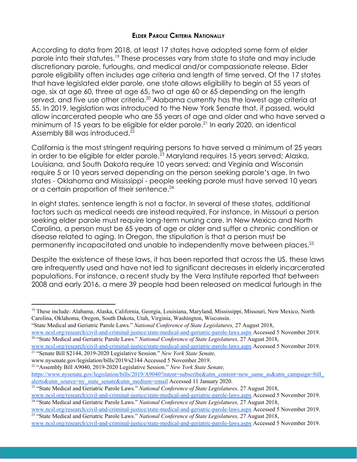## **ELDER PAROLE CRITERIA NATIONALLY**

According to data from 2018, at least 17 states have adopted some form of elder parole into their statutes.<sup>19</sup> These processes vary from state to state and may include discretionary parole, furloughs, and medical and/or compassionate release. Elder parole eligibility often includes age criteria and length of time served. Of the 17 states that have legislated elder parole, one state allows eligibility to begin at 55 years of age, six at age 60, three at age 65, two at age 60 or 65 depending on the length served, and five use other criteria.<sup>20</sup> Alabama currently has the lowest age criteria at 55. In 2019, legislation was introduced to the New York Senate that, if passed, would allow incarcerated people who are 55 years of age and older and who have served a minimum of 15 years to be eligible for elder parole.<sup>21</sup> In early 2020, an identical Assembly Bill was introduced.<sup>22</sup>

California is the most stringent requiring persons to have served a minimum of 25 years in order to be eligible for elder parole. $^{23}$  Maryland requires 15 years served; Alaska, Louisiana, and South Dakota require 10 years served; and Virginia and Wisconsin require 5 or 10 years served depending on the person seeking parole's age. In two states - Oklahoma and Mississippi - people seeking parole must have served 10 years or a certain proportion of their sentence.<sup>24</sup>

In eight states, sentence length is not a factor. In several of these states, additional factors such as medical needs are instead required. For instance, in Missouri a person seeking elder parole must require long-term nursing care. In New Mexico and North Carolina, a person must be 65 years of age or older and suffer a chronic condition or disease related to aging. In Oregon, the stipulation is that a person must be permanently incapacitated and unable to independently move between places.<sup>25</sup>

Despite the existence of these laws, it has been reported that across the US, these laws are infrequently used and have not led to significant decreases in elderly incarcerated populations. For instance, a recent study by the Vera Institute reported that between 2008 and early 2016, a mere 39 people had been released on medical furlough in the

- [www.nysenate.gov/legislation/bills/2019/s2144](https://www.nysenate.gov/legislation/bills/2019/s2144) Accessed 5 November 2019.
- <sup>22</sup> "Assembly Bill A9040, 2019-2020 Legislative Session." *New York State Senate,* https://www.nysenate.gov/legislation/bills/2019/A9040?intent=subscribe&utm\_content=new\_same\_as&utm\_campaign=bill [alerts&utm\\_source=ny\\_state\\_senate&utm\\_medium=email](https://www.nysenate.gov/legislation/bills/2019/A9040?intent=subscribe&utm_content=new_same_as&utm_campaign=bill_alerts&utm_source=ny_state_senate&utm_medium=email) Accessed 11 January 2020.

[www.ncsl.org/research/civil-and-criminal-justice/state-medical-and-geriatric-parole-laws.aspx](http://www.ncsl.org/research/civil-and-criminal-justice/state-medical-and-geriatric-parole-laws.aspx) Accessed 5 November 2019. <sup>24</sup> "State Medical and Geriatric Parole Laws." *National Conference of State Legislatures,* 27 August 2018,

<sup>19</sup> These include: Alabama, Alaska, California, Georgia, Louisiana, Maryland, Mississippi, Missouri, New Mexico, North Carolina, Oklahoma, Oregon, South Dakota, Utah, Virginia, Washington, Wisconsin.

<sup>&</sup>quot;State Medical and Geriatric Parole Laws." *National Conference of State Legislatures,* 27 August 2018, [www.ncsl.org/research/civil-and-criminal-justice/state-medical-and-geriatric-parole-laws.aspx](http://www.ncsl.org/research/civil-and-criminal-justice/state-medical-and-geriatric-parole-laws.aspx) Accessed 5 November 2019.

<sup>20</sup> "State Medical and Geriatric Parole Laws." *National Conference of State Legislatures,* 27 August 2018,

[www.ncsl.org/research/civil-and-criminal-justice/state-medical-and-geriatric-parole-laws.aspx](http://www.ncsl.org/research/civil-and-criminal-justice/state-medical-and-geriatric-parole-laws.aspx) Accessed 5 November 2019. <sup>21</sup> "Senate Bill S2144, 2019-2020 Legislative Session." *New York State Senate,*

<sup>23</sup> "State Medical and Geriatric Parole Laws." *National Conference of State Legislatures,* 27 August 2018,

[www.ncsl.org/research/civil-and-criminal-justice/state-medical-and-geriatric-parole-laws.aspx](http://www.ncsl.org/research/civil-and-criminal-justice/state-medical-and-geriatric-parole-laws.aspx) Accessed 5 November 2019. <sup>25</sup> "State Medical and Geriatric Parole Laws." *National Conference of State Legislatures,* 27 August 2018,

[www.ncsl.org/research/civil-and-criminal-justice/state-medical-and-geriatric-parole-laws.aspx](http://www.ncsl.org/research/civil-and-criminal-justice/state-medical-and-geriatric-parole-laws.aspx) Accessed 5 November 2019.